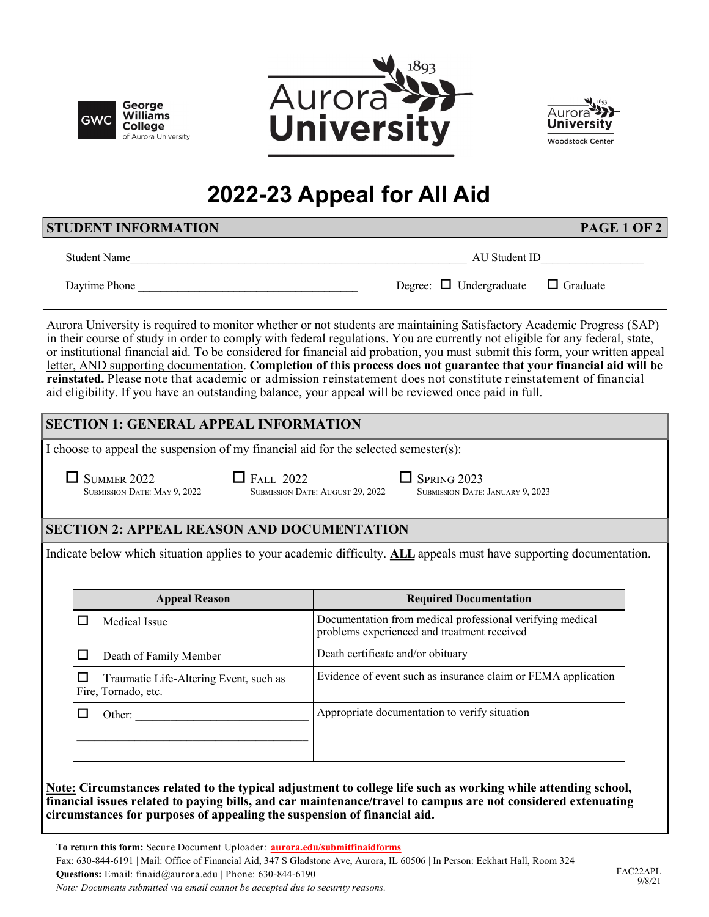





# **2022-23 Appeal for All Aid**

| STUDENT INFORMATION | <b>PAGE 1 OF 2</b>                           |
|---------------------|----------------------------------------------|
| <b>Student Name</b> | AU Student ID                                |
| Daytime Phone       | Degree: $\Box$ Undergraduate $\Box$ Graduate |

Aurora University is required to monitor whether or not students are maintaining Satisfactory Academic Progress (SAP) in their course of study in order to comply with federal regulations. You are currently not eligible for any federal, state, or institutional financial aid. To be considered for financial aid probation, you must submit this form, your written appeal letter, AND supporting documentation. **Completion of this process does not guarantee that your financial aid will be reinstated.** Please note that academic or admission reinstatement does not constitute reinstatement of financial aid eligibility. If you have an outstanding balance, your appeal will be reviewed once paid in full.

## **SECTION 1: GENERAL APPEAL INFORMATION**

I choose to appeal the suspension of my financial aid for the selected semester(s):

Summer 2022 Fall 2022 Spring 2023 Submission Date: May 9, 2022 Submission Date: August 29, 2022 Submission Date: January 9, 2023

### **SECTION 2: APPEAL REASON AND DOCUMENTATION**

Indicate below which situation applies to your academic difficulty. **ALL** appeals must have supporting documentation.

| <b>Appeal Reason</b>                                          | <b>Required Documentation</b>                                                                            |
|---------------------------------------------------------------|----------------------------------------------------------------------------------------------------------|
| Medical Issue                                                 | Documentation from medical professional verifying medical<br>problems experienced and treatment received |
| Death of Family Member                                        | Death certificate and/or obituary                                                                        |
| Traumatic Life-Altering Event, such as<br>Fire, Tornado, etc. | Evidence of event such as insurance claim or FEMA application                                            |
| Other:                                                        | Appropriate documentation to verify situation                                                            |

**Note: Circumstances related to the typical adjustment to college life such as working while attending school, financial issues related to paying bills, and car maintenance/travel to campus are not considered extenuating circumstances for purposes of appealing the suspension of financial aid.**

**To return this form:** Secure Document Uploader: **[aurora.edu/submitfinaidforms](https://aurora.edu/admission/financialaid/forms/submit-forms.html)**

Fax: 630-844-6191 | Mail: Office of Financial Aid, 347 S Gladstone Ave, Aurora, IL 60506 | In Person: Eckhart Hall, Room 324 **Questions:** Email: finaid@aurora.edu | Phone: 630-844-6190

*Note: Documents submitted via email cannot be accepted due to security reasons.*